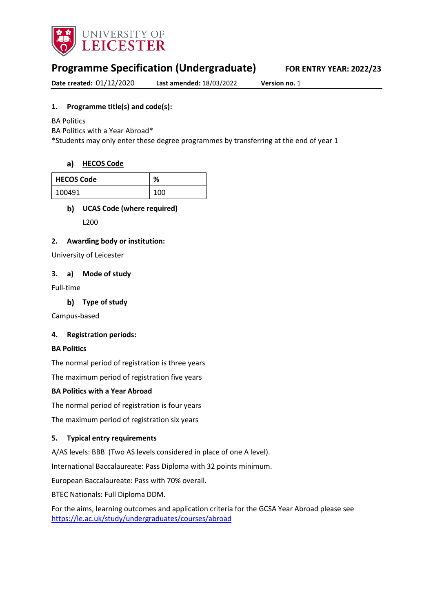

# **Programme Specification (Undergraduate) FOR ENTRY YEAR: 2022/23**

**Date created:** 01/12/2020 **Last amended:** 18/03/2022 **Version no.** 1

## **1. Programme title(s) and code(s):**

BA Politics

BA Politics with a Year Abroad\*

\*Students may only enter these degree programmes by transferring at the end of year 1

#### **[HECOS Code](https://www.hesa.ac.uk/innovation/hecos)**

| <b>HECOS Code</b> | %   |
|-------------------|-----|
| 100491            | 100 |

## **UCAS Code (where required)**

L200

#### **2. Awarding body or institution:**

University of Leicester

#### **3. a) Mode of study**

Full-time

**Type of study**

Campus-based

#### **4. Registration periods:**

#### **BA Politics**

The normal period of registration is three years

The maximum period of registration five years

#### **BA Politics with a Year Abroad**

The normal period of registration is four years

The maximum period of registration six years

#### **5. Typical entry requirements**

A/AS levels: BBB (Two AS levels considered in place of one A level).

International Baccalaureate: Pass Diploma with 32 points minimum.

European Baccalaureate: Pass with 70% overall.

BTEC Nationals: Full Diploma DDM.

For the aims, learning outcomes and application criteria for the GCSA Year Abroad please see <https://le.ac.uk/study/undergraduates/courses/abroad>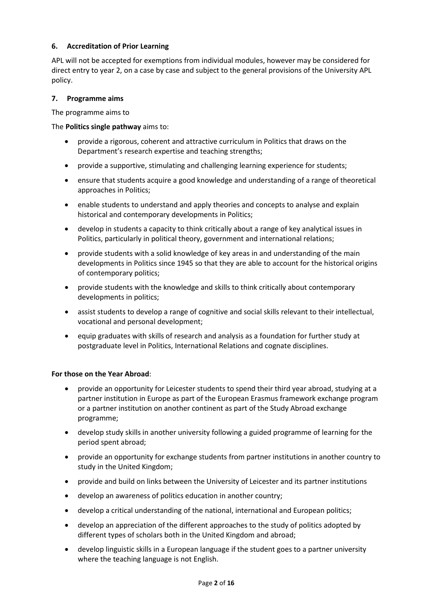#### **6. Accreditation of Prior Learning**

APL will not be accepted for exemptions from individual modules, however may be considered for direct entry to year 2, on a case by case and subject to the general provisions of the University APL policy.

#### **7. Programme aims**

The programme aims to

#### The **Politics single pathway** aims to:

- provide a rigorous, coherent and attractive curriculum in Politics that draws on the Department's research expertise and teaching strengths;
- provide a supportive, stimulating and challenging learning experience for students;
- ensure that students acquire a good knowledge and understanding of a range of theoretical approaches in Politics;
- enable students to understand and apply theories and concepts to analyse and explain historical and contemporary developments in Politics;
- develop in students a capacity to think critically about a range of key analytical issues in Politics, particularly in political theory, government and international relations;
- provide students with a solid knowledge of key areas in and understanding of the main developments in Politics since 1945 so that they are able to account for the historical origins of contemporary politics;
- provide students with the knowledge and skills to think critically about contemporary developments in politics;
- assist students to develop a range of cognitive and social skills relevant to their intellectual, vocational and personal development;
- equip graduates with skills of research and analysis as a foundation for further study at postgraduate level in Politics, International Relations and cognate disciplines.

#### **For those on the Year Abroad**:

- provide an opportunity for Leicester students to spend their third year abroad, studying at a partner institution in Europe as part of the European Erasmus framework exchange program or a partner institution on another continent as part of the Study Abroad exchange programme;
- develop study skills in another university following a guided programme of learning for the period spent abroad;
- provide an opportunity for exchange students from partner institutions in another country to study in the United Kingdom;
- provide and build on links between the University of Leicester and its partner institutions
- develop an awareness of politics education in another country;
- develop a critical understanding of the national, international and European politics;
- develop an appreciation of the different approaches to the study of politics adopted by different types of scholars both in the United Kingdom and abroad;
- develop linguistic skills in a European language if the student goes to a partner university where the teaching language is not English.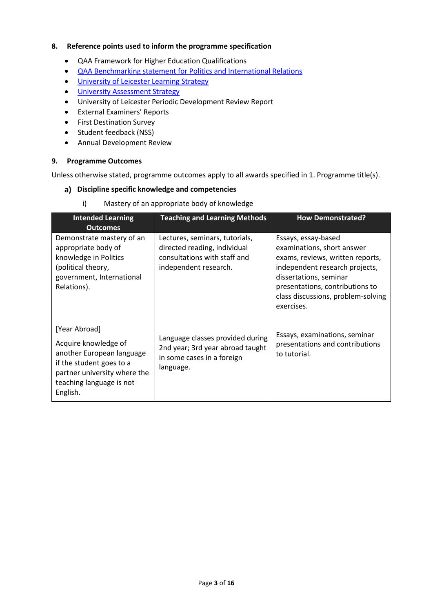#### **8. Reference points used to inform the programme specification**

- QAA Framework for Higher Education Qualifications
- [QAA Benchmarking statement for Politics and International Relations](file://UOL/root/Departments/Student%20and%20Academic%20Services/Quality%20Office/Curriculum%20Change/2021-22%20(Nov%20and%20Dec%202020)/CSSAH/HYPIR/Accesisble%20Specs/Politics/%E2%80%A2%09http:/www.qaa.ac.uk/en/Publications/Documents/SBS-politics-15.pdf)
- [University of Leicester Learning Strategy](https://www2.le.ac.uk/offices/sas2/quality/learnteach)
- [University Assessment Strategy](file://UOL/root/Departments/Student%20and%20Academic%20Services/Quality%20Office/Curriculum%20Change/2021-22%20(Nov%20and%20Dec%202020)/CSSAH/HYPIR/Accesisble%20Specs/Politics/%E2%80%A2%09University%20of%20Leicester%20Learning%20Strategy)
- University of Leicester Periodic Development Review Report
- External Examiners' Reports
- First Destination Survey
- Student feedback (NSS)
- Annual Development Review

#### **9. Programme Outcomes**

Unless otherwise stated, programme outcomes apply to all awards specified in 1. Programme title(s).

#### **Discipline specific knowledge and competencies**

i) Mastery of an appropriate body of knowledge

| <b>Intended Learning</b><br><b>Outcomes</b>                                                                                                                            | <b>Teaching and Learning Methods</b>                                                                                    | <b>How Demonstrated?</b>                                                                                                                                                                                                                 |
|------------------------------------------------------------------------------------------------------------------------------------------------------------------------|-------------------------------------------------------------------------------------------------------------------------|------------------------------------------------------------------------------------------------------------------------------------------------------------------------------------------------------------------------------------------|
| Demonstrate mastery of an<br>appropriate body of<br>knowledge in Politics<br>(political theory,<br>government, International<br>Relations).                            | Lectures, seminars, tutorials,<br>directed reading, individual<br>consultations with staff and<br>independent research. | Essays, essay-based<br>examinations, short answer<br>exams, reviews, written reports,<br>independent research projects,<br>dissertations, seminar<br>presentations, contributions to<br>class discussions, problem-solving<br>exercises. |
| [Year Abroad]<br>Acquire knowledge of<br>another European language<br>if the student goes to a<br>partner university where the<br>teaching language is not<br>English. | Language classes provided during<br>2nd year; 3rd year abroad taught<br>in some cases in a foreign<br>language.         | Essays, examinations, seminar<br>presentations and contributions<br>to tutorial.                                                                                                                                                         |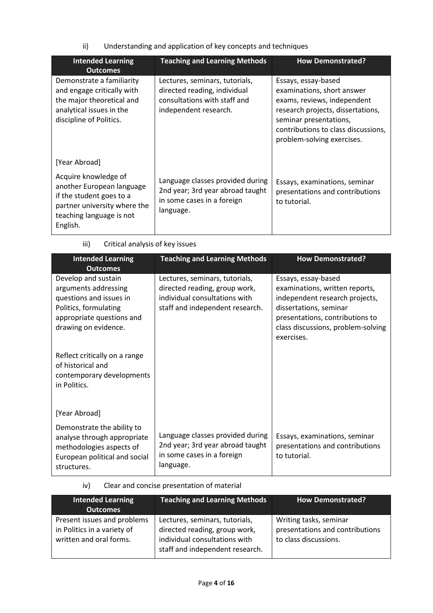ii) Understanding and application of key concepts and techniques

| <b>Intended Learning</b><br><b>Outcomes</b>                                                                                                           | <b>Teaching and Learning Methods</b>                                                                                    | <b>How Demonstrated?</b>                                                                                                                                                                                             |
|-------------------------------------------------------------------------------------------------------------------------------------------------------|-------------------------------------------------------------------------------------------------------------------------|----------------------------------------------------------------------------------------------------------------------------------------------------------------------------------------------------------------------|
| Demonstrate a familiarity<br>and engage critically with<br>the major theoretical and<br>analytical issues in the<br>discipline of Politics.           | Lectures, seminars, tutorials,<br>directed reading, individual<br>consultations with staff and<br>independent research. | Essays, essay-based<br>examinations, short answer<br>exams, reviews, independent<br>research projects, dissertations,<br>seminar presentations,<br>contributions to class discussions,<br>problem-solving exercises. |
| [Year Abroad]                                                                                                                                         |                                                                                                                         |                                                                                                                                                                                                                      |
| Acquire knowledge of<br>another European language<br>if the student goes to a<br>partner university where the<br>teaching language is not<br>English. | Language classes provided during<br>2nd year; 3rd year abroad taught<br>in some cases in a foreign<br>language.         | Essays, examinations, seminar<br>presentations and contributions<br>to tutorial.                                                                                                                                     |

| <b>Intended Learning</b>      | <b>Teaching and Learning Methods</b> | <b>How Demonstrated?</b>           |
|-------------------------------|--------------------------------------|------------------------------------|
| <b>Outcomes</b>               |                                      |                                    |
| Develop and sustain           | Lectures, seminars, tutorials,       | Essays, essay-based                |
| arguments addressing          | directed reading, group work,        | examinations, written reports,     |
| questions and issues in       | individual consultations with        | independent research projects,     |
| Politics, formulating         | staff and independent research.      | dissertations, seminar             |
| appropriate questions and     |                                      | presentations, contributions to    |
| drawing on evidence.          |                                      | class discussions, problem-solving |
|                               |                                      | exercises.                         |
|                               |                                      |                                    |
| Reflect critically on a range |                                      |                                    |
| of historical and             |                                      |                                    |
| contemporary developments     |                                      |                                    |
| in Politics.                  |                                      |                                    |
|                               |                                      |                                    |
|                               |                                      |                                    |
| [Year Abroad]                 |                                      |                                    |
| Demonstrate the ability to    |                                      |                                    |
| analyse through appropriate   | Language classes provided during     | Essays, examinations, seminar      |
| methodologies aspects of      | 2nd year; 3rd year abroad taught     | presentations and contributions    |
| European political and social |                                      | to tutorial.                       |
| structures.                   | language.                            |                                    |
|                               | in some cases in a foreign           |                                    |

# iii) Critical analysis of key issues

# iv) Clear and concise presentation of material

| <b>Intended Learning</b><br><b>Outcomes</b>                                           | <b>Teaching and Learning Methods</b>                                                                                                | <b>How Demonstrated?</b>                                                           |
|---------------------------------------------------------------------------------------|-------------------------------------------------------------------------------------------------------------------------------------|------------------------------------------------------------------------------------|
| Present issues and problems<br>in Politics in a variety of<br>written and oral forms. | Lectures, seminars, tutorials,<br>directed reading, group work,<br>individual consultations with<br>staff and independent research. | Writing tasks, seminar<br>presentations and contributions<br>to class discussions. |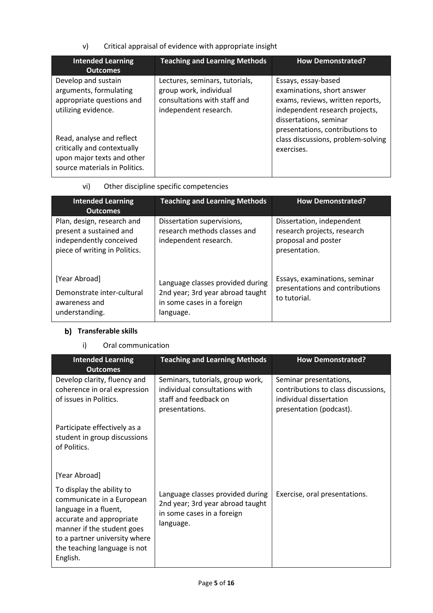v) Critical appraisal of evidence with appropriate insight

| <b>Intended Learning</b><br><b>Outcomes</b>                                                                             | <b>Teaching and Learning Methods</b>                                                                              | <b>How Demonstrated?</b>                                                                                                                                                             |
|-------------------------------------------------------------------------------------------------------------------------|-------------------------------------------------------------------------------------------------------------------|--------------------------------------------------------------------------------------------------------------------------------------------------------------------------------------|
| Develop and sustain<br>arguments, formulating<br>appropriate questions and<br>utilizing evidence.                       | Lectures, seminars, tutorials,<br>group work, individual<br>consultations with staff and<br>independent research. | Essays, essay-based<br>examinations, short answer<br>exams, reviews, written reports,<br>independent research projects,<br>dissertations, seminar<br>presentations, contributions to |
| Read, analyse and reflect<br>critically and contextually<br>upon major texts and other<br>source materials in Politics. |                                                                                                                   | class discussions, problem-solving<br>exercises.                                                                                                                                     |

# vi) Other discipline specific competencies

| <b>Intended Learning</b><br><b>Outcomes</b>                                                                       | <b>Teaching and Learning Methods</b>                                                                            | <b>How Demonstrated?</b>                                                                         |
|-------------------------------------------------------------------------------------------------------------------|-----------------------------------------------------------------------------------------------------------------|--------------------------------------------------------------------------------------------------|
| Plan, design, research and<br>present a sustained and<br>independently conceived<br>piece of writing in Politics. | Dissertation supervisions,<br>research methods classes and<br>independent research.                             | Dissertation, independent<br>research projects, research<br>proposal and poster<br>presentation. |
| [Year Abroad]<br>Demonstrate inter-cultural<br>awareness and<br>understanding.                                    | Language classes provided during<br>2nd year; 3rd year abroad taught<br>in some cases in a foreign<br>language. | Essays, examinations, seminar<br>presentations and contributions<br>to tutorial.                 |

# **b)** Transferable skills

# i) Oral communication

| <b>Intended Learning</b><br><b>Outcomes</b>                                                                                                                                                                            | <b>Teaching and Learning Methods</b>                                                                            | <b>How Demonstrated?</b>                                                                                            |
|------------------------------------------------------------------------------------------------------------------------------------------------------------------------------------------------------------------------|-----------------------------------------------------------------------------------------------------------------|---------------------------------------------------------------------------------------------------------------------|
| Develop clarity, fluency and<br>coherence in oral expression<br>of issues in Politics.                                                                                                                                 | Seminars, tutorials, group work,<br>individual consultations with<br>staff and feedback on<br>presentations.    | Seminar presentations,<br>contributions to class discussions,<br>individual dissertation<br>presentation (podcast). |
| Participate effectively as a<br>student in group discussions<br>of Politics.                                                                                                                                           |                                                                                                                 |                                                                                                                     |
| [Year Abroad]                                                                                                                                                                                                          |                                                                                                                 |                                                                                                                     |
| To display the ability to<br>communicate in a European<br>language in a fluent,<br>accurate and appropriate<br>manner if the student goes<br>to a partner university where<br>the teaching language is not<br>English. | Language classes provided during<br>2nd year; 3rd year abroad taught<br>in some cases in a foreign<br>language. | Exercise, oral presentations.                                                                                       |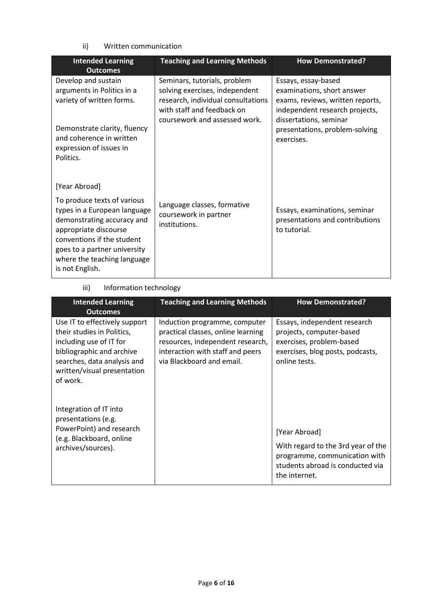## ii) Written communication

| <b>Intended Learning</b><br><b>Outcomes</b>                                                                                                                                                                                        | <b>Teaching and Learning Methods</b>                                                                                                                                | <b>How Demonstrated?</b>                                                                                                                          |
|------------------------------------------------------------------------------------------------------------------------------------------------------------------------------------------------------------------------------------|---------------------------------------------------------------------------------------------------------------------------------------------------------------------|---------------------------------------------------------------------------------------------------------------------------------------------------|
| Develop and sustain<br>arguments in Politics in a<br>variety of written forms.                                                                                                                                                     | Seminars, tutorials, problem<br>solving exercises, independent<br>research, individual consultations<br>with staff and feedback on<br>coursework and assessed work. | Essays, essay-based<br>examinations, short answer<br>exams, reviews, written reports,<br>independent research projects,<br>dissertations, seminar |
| Demonstrate clarity, fluency<br>and coherence in written<br>expression of issues in<br>Politics.                                                                                                                                   |                                                                                                                                                                     | presentations, problem-solving<br>exercises.                                                                                                      |
| [Year Abroad]                                                                                                                                                                                                                      |                                                                                                                                                                     |                                                                                                                                                   |
| To produce texts of various<br>types in a European language<br>demonstrating accuracy and<br>appropriate discourse<br>conventions if the student<br>goes to a partner university<br>where the teaching language<br>is not English. | Language classes, formative<br>coursework in partner<br>institutions.                                                                                               | Essays, examinations, seminar<br>presentations and contributions<br>to tutorial.                                                                  |

# iii) Information technology

| <b>Intended Learning</b><br><b>Outcomes</b>                                                                                                                                                   | <b>Teaching and Learning Methods</b>                                                                                                                                     | <b>How Demonstrated?</b>                                                                                                                  |
|-----------------------------------------------------------------------------------------------------------------------------------------------------------------------------------------------|--------------------------------------------------------------------------------------------------------------------------------------------------------------------------|-------------------------------------------------------------------------------------------------------------------------------------------|
| Use IT to effectively support<br>their studies in Politics,<br>including use of IT for<br>bibliographic and archive<br>searches, data analysis and<br>written/visual presentation<br>of work. | Induction programme, computer<br>practical classes, online learning<br>resources, independent research,<br>interaction with staff and peers<br>via Blackboard and email. | Essays, independent research<br>projects, computer-based<br>exercises, problem-based<br>exercises, blog posts, podcasts,<br>online tests. |
| Integration of IT into<br>presentations (e.g.<br>PowerPoint) and research<br>(e.g. Blackboard, online<br>archives/sources).                                                                   |                                                                                                                                                                          | [Year Abroad]<br>With regard to the 3rd year of the<br>programme, communication with<br>students abroad is conducted via<br>the internet. |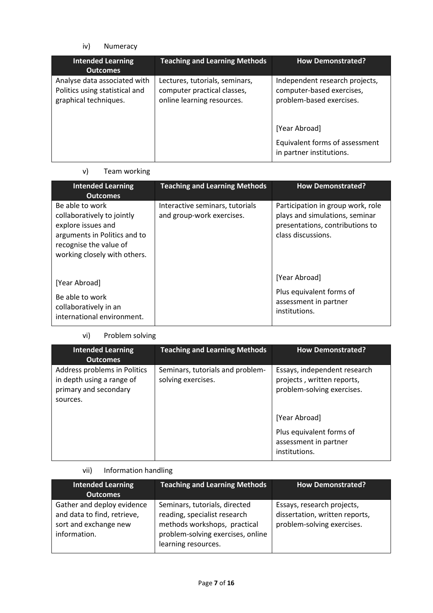## iv) Numeracy

| <b>Intended Learning</b><br><b>Outcomes</b>                                             | <b>Teaching and Learning Methods</b>                                                        | <b>How Demonstrated?</b>                                                                |
|-----------------------------------------------------------------------------------------|---------------------------------------------------------------------------------------------|-----------------------------------------------------------------------------------------|
| Analyse data associated with<br>Politics using statistical and<br>graphical techniques. | Lectures, tutorials, seminars,<br>computer practical classes,<br>online learning resources. | Independent research projects,<br>computer-based exercises,<br>problem-based exercises. |
|                                                                                         |                                                                                             | [Year Abroad]<br>Equivalent forms of assessment<br>in partner institutions.             |

# v) Team working

| <b>Intended Learning</b><br><b>Outcomes</b>                                                                                                                   | <b>Teaching and Learning Methods</b>                         | <b>How Demonstrated?</b>                                                                                                     |
|---------------------------------------------------------------------------------------------------------------------------------------------------------------|--------------------------------------------------------------|------------------------------------------------------------------------------------------------------------------------------|
| Be able to work<br>collaboratively to jointly<br>explore issues and<br>arguments in Politics and to<br>recognise the value of<br>working closely with others. | Interactive seminars, tutorials<br>and group-work exercises. | Participation in group work, role<br>plays and simulations, seminar<br>presentations, contributions to<br>class discussions. |
| [Year Abroad]<br>Be able to work<br>collaboratively in an<br>international environment.                                                                       |                                                              | [Year Abroad]<br>Plus equivalent forms of<br>assessment in partner<br>institutions.                                          |

# vi) Problem solving

| <b>Intended Learning</b><br><b>Outcomes</b>                                                    | <b>Teaching and Learning Methods</b>                   | <b>How Demonstrated?</b>                                                                                                                                                        |
|------------------------------------------------------------------------------------------------|--------------------------------------------------------|---------------------------------------------------------------------------------------------------------------------------------------------------------------------------------|
| Address problems in Politics<br>in depth using a range of<br>primary and secondary<br>sources. | Seminars, tutorials and problem-<br>solving exercises. | Essays, independent research<br>projects, written reports,<br>problem-solving exercises.<br>[Year Abroad]<br>Plus equivalent forms of<br>assessment in partner<br>institutions. |

# vii) Information handling

| <b>Intended Learning</b><br><b>Outcomes</b>                                                        | <b>Teaching and Learning Methods</b>                                                                                                                      | <b>How Demonstrated?</b>                                                                   |
|----------------------------------------------------------------------------------------------------|-----------------------------------------------------------------------------------------------------------------------------------------------------------|--------------------------------------------------------------------------------------------|
| Gather and deploy evidence<br>and data to find, retrieve,<br>sort and exchange new<br>information. | Seminars, tutorials, directed<br>reading, specialist research<br>methods workshops, practical<br>problem-solving exercises, online<br>learning resources. | Essays, research projects,<br>dissertation, written reports,<br>problem-solving exercises. |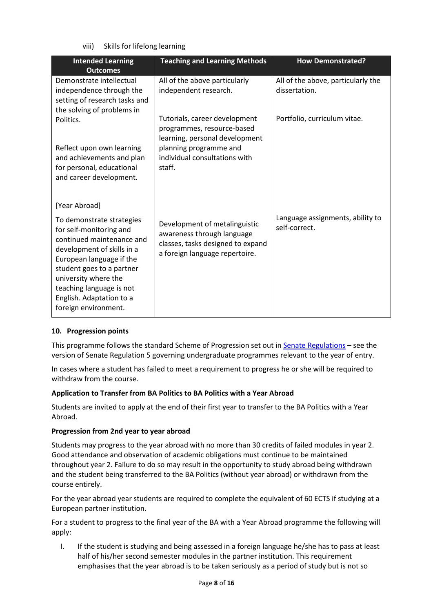viii) Skills for lifelong learning

| <b>Intended Learning</b>                                                                                                                                                                                                                                                         | <b>Teaching and Learning Methods</b>                                                                                               | <b>How Demonstrated?</b>                          |
|----------------------------------------------------------------------------------------------------------------------------------------------------------------------------------------------------------------------------------------------------------------------------------|------------------------------------------------------------------------------------------------------------------------------------|---------------------------------------------------|
| <b>Outcomes</b>                                                                                                                                                                                                                                                                  |                                                                                                                                    |                                                   |
| Demonstrate intellectual                                                                                                                                                                                                                                                         | All of the above particularly                                                                                                      | All of the above, particularly the                |
| independence through the                                                                                                                                                                                                                                                         | independent research.                                                                                                              | dissertation.                                     |
| setting of research tasks and                                                                                                                                                                                                                                                    |                                                                                                                                    |                                                   |
| the solving of problems in                                                                                                                                                                                                                                                       |                                                                                                                                    |                                                   |
| Politics.                                                                                                                                                                                                                                                                        | Tutorials, career development<br>programmes, resource-based<br>learning, personal development                                      | Portfolio, curriculum vitae.                      |
| Reflect upon own learning                                                                                                                                                                                                                                                        | planning programme and                                                                                                             |                                                   |
| and achievements and plan                                                                                                                                                                                                                                                        | individual consultations with                                                                                                      |                                                   |
| for personal, educational                                                                                                                                                                                                                                                        | staff.                                                                                                                             |                                                   |
| and career development.                                                                                                                                                                                                                                                          |                                                                                                                                    |                                                   |
|                                                                                                                                                                                                                                                                                  |                                                                                                                                    |                                                   |
| [Year Abroad]                                                                                                                                                                                                                                                                    |                                                                                                                                    |                                                   |
| To demonstrate strategies<br>for self-monitoring and<br>continued maintenance and<br>development of skills in a<br>European language if the<br>student goes to a partner<br>university where the<br>teaching language is not<br>English. Adaptation to a<br>foreign environment. | Development of metalinguistic<br>awareness through language<br>classes, tasks designed to expand<br>a foreign language repertoire. | Language assignments, ability to<br>self-correct. |
|                                                                                                                                                                                                                                                                                  |                                                                                                                                    |                                                   |

## **10. Progression points**

This programme follows the standard Scheme of Progression set out i[n Senate Regulations](http://www.le.ac.uk/senate-regulations) – see the version of Senate Regulation 5 governing undergraduate programmes relevant to the year of entry.

In cases where a student has failed to meet a requirement to progress he or she will be required to withdraw from the course.

## **Application to Transfer from BA Politics to BA Politics with a Year Abroad**

Students are invited to apply at the end of their first year to transfer to the BA Politics with a Year Abroad.

#### **Progression from 2nd year to year abroad**

Students may progress to the year abroad with no more than 30 credits of failed modules in year 2. Good attendance and observation of academic obligations must continue to be maintained throughout year 2. Failure to do so may result in the opportunity to study abroad being withdrawn and the student being transferred to the BA Politics (without year abroad) or withdrawn from the course entirely.

For the year abroad year students are required to complete the equivalent of 60 ECTS if studying at a European partner institution.

For a student to progress to the final year of the BA with a Year Abroad programme the following will apply:

I. If the student is studying and being assessed in a foreign language he/she has to pass at least half of his/her second semester modules in the partner institution. This requirement emphasises that the year abroad is to be taken seriously as a period of study but is not so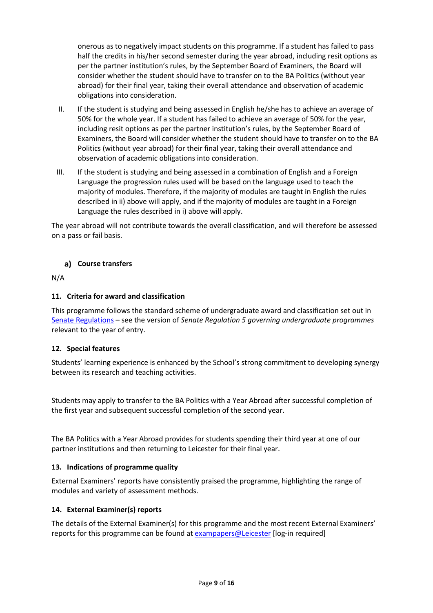onerous as to negatively impact students on this programme. If a student has failed to pass half the credits in his/her second semester during the year abroad, including resit options as per the partner institution's rules, by the September Board of Examiners, the Board will consider whether the student should have to transfer on to the BA Politics (without year abroad) for their final year, taking their overall attendance and observation of academic obligations into consideration.

- II. If the student is studying and being assessed in English he/she has to achieve an average of 50% for the whole year. If a student has failed to achieve an average of 50% for the year, including resit options as per the partner institution's rules, by the September Board of Examiners, the Board will consider whether the student should have to transfer on to the BA Politics (without year abroad) for their final year, taking their overall attendance and observation of academic obligations into consideration.
- III. If the student is studying and being assessed in a combination of English and a Foreign Language the progression rules used will be based on the language used to teach the majority of modules. Therefore, if the majority of modules are taught in English the rules described in ii) above will apply, and if the majority of modules are taught in a Foreign Language the rules described in i) above will apply.

The year abroad will not contribute towards the overall classification, and will therefore be assessed on a pass or fail basis.

## **Course transfers**

N/A

## **11. Criteria for award and classification**

This programme follows the standard scheme of undergraduate award and classification set out in [Senate Regulations](http://www.le.ac.uk/senate-regulations) – see the version of *Senate Regulation 5 governing undergraduate programmes* relevant to the year of entry.

## **12. Special features**

Students' learning experience is enhanced by the School's strong commitment to developing synergy between its research and teaching activities.

Students may apply to transfer to the BA Politics with a Year Abroad after successful completion of the first year and subsequent successful completion of the second year.

The BA Politics with a Year Abroad provides for students spending their third year at one of our partner institutions and then returning to Leicester for their final year.

#### **13. Indications of programme quality**

External Examiners' reports have consistently praised the programme, highlighting the range of modules and variety of assessment methods.

## **14. External Examiner(s) reports**

The details of the External Examiner(s) for this programme and the most recent External Examiners' reports for this programme can be found at [exampapers@Leicester](https://exampapers.le.ac.uk/) [log-in required]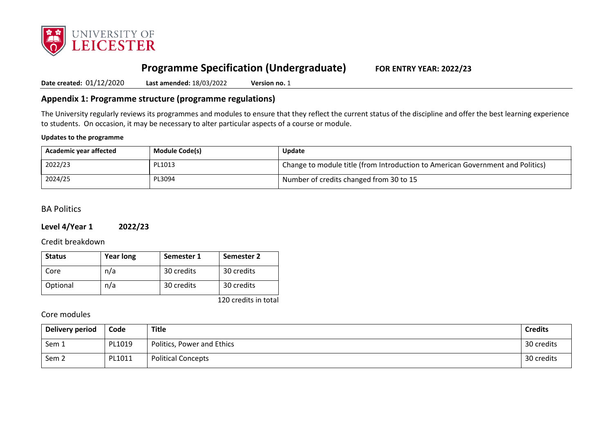

# **Programme Specification (Undergraduate) FOR ENTRY YEAR: 2022/23**

**Date created:** 01/12/2020 **Last amended:** 18/03/2022 **Version no.** 1

## **Appendix 1: Programme structure (programme regulations)**

The University regularly reviews its programmes and modules to ensure that they reflect the current status of the discipline and offer the best learning experience to students. On occasion, it may be necessary to alter particular aspects of a course or module.

#### **Updates to the programme**

| Academic year affected | <b>Module Code(s)</b> | <b>Update</b>                                                                  |
|------------------------|-----------------------|--------------------------------------------------------------------------------|
| 2022/23                | PL1013                | Change to module title (from Introduction to American Government and Politics) |
| 2024/25                | PL3094                | Number of credits changed from 30 to 15                                        |

# BA Politics

## **Level 4/Year 1 2022/23**

Credit breakdown

| <b>Status</b> | <b>Year long</b> | Semester 1 | Semester 2 |
|---------------|------------------|------------|------------|
| Core          | n/a              | 30 credits | 30 credits |
| Optional      | n/a              | 30 credits | 30 credits |

120 credits in total

## Core modules

| <b>Delivery period</b> | Code   | Title                      | <b>Credits</b> |
|------------------------|--------|----------------------------|----------------|
| Sem 1                  | PL1019 | Politics, Power and Ethics | 30 credits     |
| Sem <sub>2</sub>       | PL1011 | <b>Political Concepts</b>  | 30 credits     |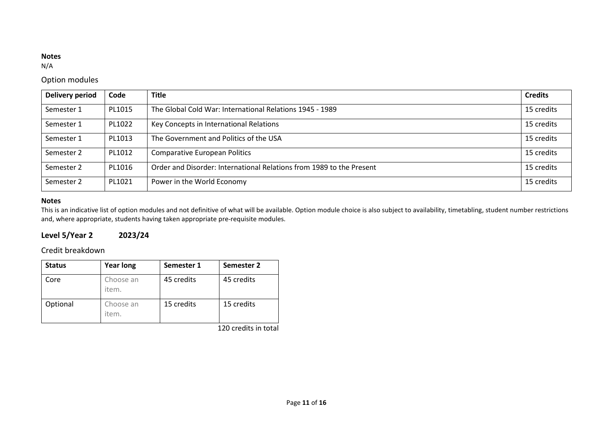### **Notes**

N/A

# Option modules

| <b>Delivery period</b> | Code   | <b>Title</b>                                                         | <b>Credits</b> |
|------------------------|--------|----------------------------------------------------------------------|----------------|
| Semester 1             | PL1015 | The Global Cold War: International Relations 1945 - 1989             | 15 credits     |
| Semester 1             | PL1022 | Key Concepts in International Relations                              | 15 credits     |
| Semester 1             | PL1013 | The Government and Politics of the USA                               | 15 credits     |
| Semester 2             | PL1012 | <b>Comparative European Politics</b>                                 | 15 credits     |
| Semester 2             | PL1016 | Order and Disorder: International Relations from 1989 to the Present | 15 credits     |
| Semester 2             | PL1021 | Power in the World Economy                                           | 15 credits     |

## **Notes**

This is an indicative list of option modules and not definitive of what will be available. Option module choice is also subject to availability, timetabling, student number restrictions and, where appropriate, students having taken appropriate pre-requisite modules.

# **Level 5/Year 2 2023/24**

# Credit breakdown

| <b>Status</b> | <b>Year long</b>   | Semester 1 | Semester 2 |
|---------------|--------------------|------------|------------|
| Core          | Choose an<br>item. | 45 credits | 45 credits |
| Optional      | Choose an<br>item. | 15 credits | 15 credits |

120 credits in total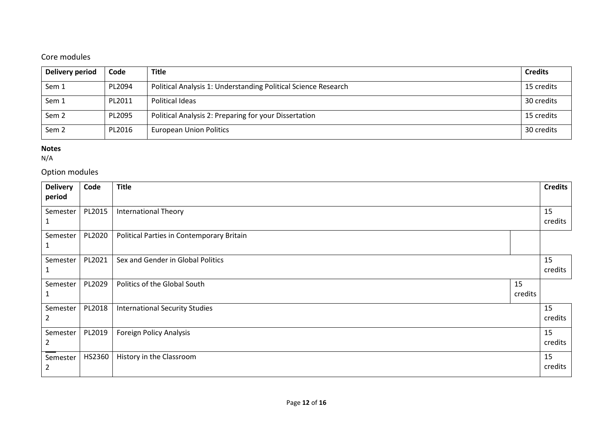# Core modules

| Delivery period  | Code   | <b>Title</b>                                                   | <b>Credits</b> |
|------------------|--------|----------------------------------------------------------------|----------------|
| Sem 1            | PL2094 | Political Analysis 1: Understanding Political Science Research | 15 credits     |
| Sem 1            | PL2011 | Political Ideas                                                | 30 credits     |
| Sem <sub>2</sub> | PL2095 | Political Analysis 2: Preparing for your Dissertation          | 15 credits     |
| Sem <sub>2</sub> | PL2016 | <b>European Union Politics</b>                                 | 30 credits     |

#### **Notes**

N/A

# Option modules

| <b>Delivery</b> | Code   | <b>Title</b>                              |               | <b>Credits</b> |
|-----------------|--------|-------------------------------------------|---------------|----------------|
| period          |        |                                           |               |                |
| Semester        | PL2015 | <b>International Theory</b>               |               | 15<br>credits  |
| Semester        | PL2020 | Political Parties in Contemporary Britain |               |                |
| Semester        | PL2021 | Sex and Gender in Global Politics         |               | 15<br>credits  |
| Semester        | PL2029 | Politics of the Global South              | 15<br>credits |                |
| Semester        | PL2018 | <b>International Security Studies</b>     |               | 15<br>credits  |
| Semester        | PL2019 | <b>Foreign Policy Analysis</b>            |               | 15<br>credits  |
| Semester<br>2   | HS2360 | History in the Classroom                  |               | 15<br>credits  |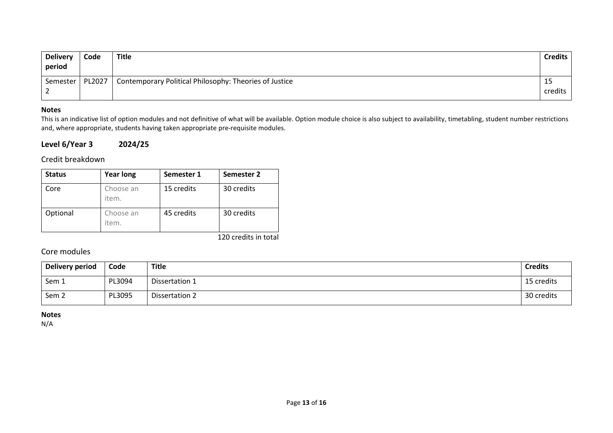| <b>Delivery</b><br>period | Code   | <b>Title</b>                                           | Credits       |
|---------------------------|--------|--------------------------------------------------------|---------------|
| Semester<br><u>.</u>      | PL2027 | Contemporary Political Philosophy: Theories of Justice | IJ<br>credits |

## **Notes**

This is an indicative list of option modules and not definitive of what will be available. Option module choice is also subject to availability, timetabling, student number restrictions and, where appropriate, students having taken appropriate pre-requisite modules.

## **Level 6/Year 3 2024/25**

Credit breakdown

| <b>Status</b> | <b>Year long</b>   | Semester 1 | Semester 2 |
|---------------|--------------------|------------|------------|
| Core          | Choose an<br>item. | 15 credits | 30 credits |
| Optional      | Choose an<br>item. | 45 credits | 30 credits |

120 credits in total

## Core modules

| Delivery period  | Code   | Title          | <b>Credits</b> |
|------------------|--------|----------------|----------------|
| Sem 1            | PL3094 | Dissertation 1 | 15 credits     |
| Sem <sub>2</sub> | PL3095 | Dissertation 2 | 30 credits     |

**Notes**

N/A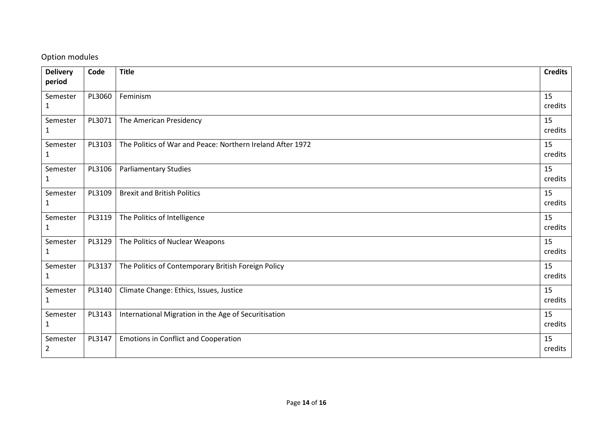# Option modules

| <b>Delivery</b> | Code   | <b>Title</b>                                               | <b>Credits</b> |
|-----------------|--------|------------------------------------------------------------|----------------|
| period          |        |                                                            |                |
| Semester        | PL3060 | Feminism                                                   | 15             |
| 1               |        |                                                            | credits        |
| Semester        | PL3071 | The American Presidency                                    | 15             |
| 1               |        |                                                            | credits        |
| Semester        | PL3103 | The Politics of War and Peace: Northern Ireland After 1972 | 15             |
| $\mathbf{1}$    |        |                                                            | credits        |
| Semester        | PL3106 | <b>Parliamentary Studies</b>                               | 15             |
| 1               |        |                                                            | credits        |
| Semester        | PL3109 | <b>Brexit and British Politics</b>                         | 15             |
| 1               |        |                                                            | credits        |
| Semester        | PL3119 | The Politics of Intelligence                               | 15             |
| 1               |        |                                                            | credits        |
| Semester        | PL3129 | The Politics of Nuclear Weapons                            | 15             |
| 1               |        |                                                            | credits        |
| Semester        | PL3137 | The Politics of Contemporary British Foreign Policy        | 15             |
| $\mathbf{1}$    |        |                                                            | credits        |
| Semester        | PL3140 | Climate Change: Ethics, Issues, Justice                    | 15             |
| $\mathbf{1}$    |        |                                                            | credits        |
| Semester        | PL3143 | International Migration in the Age of Securitisation       | 15             |
| $\mathbf{1}$    |        |                                                            | credits        |
| Semester        | PL3147 | <b>Emotions in Conflict and Cooperation</b>                | 15             |
| 2               |        |                                                            | credits        |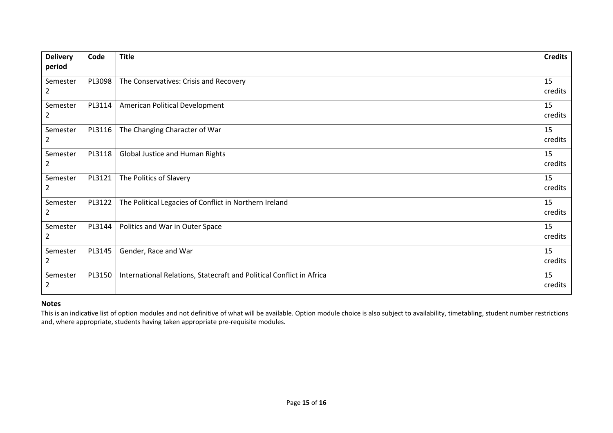| <b>Delivery</b><br>period  | Code   | <b>Title</b>                                                         | <b>Credits</b> |
|----------------------------|--------|----------------------------------------------------------------------|----------------|
| Semester<br>$\overline{2}$ | PL3098 | The Conservatives: Crisis and Recovery                               | 15<br>credits  |
| Semester<br>$\overline{2}$ | PL3114 | American Political Development                                       | 15<br>credits  |
| Semester<br>2              | PL3116 | The Changing Character of War                                        | 15<br>credits  |
| Semester<br>$\overline{2}$ | PL3118 | Global Justice and Human Rights                                      | 15<br>credits  |
| Semester<br>2              | PL3121 | The Politics of Slavery                                              | 15<br>credits  |
| Semester<br>$\overline{2}$ | PL3122 | The Political Legacies of Conflict in Northern Ireland               | 15<br>credits  |
| Semester<br>2              | PL3144 | Politics and War in Outer Space                                      | 15<br>credits  |
| Semester<br>$\overline{2}$ | PL3145 | Gender, Race and War                                                 | 15<br>credits  |
| Semester<br>$\overline{2}$ | PL3150 | International Relations, Statecraft and Political Conflict in Africa | 15<br>credits  |

### **Notes**

This is an indicative list of option modules and not definitive of what will be available. Option module choice is also subject to availability, timetabling, student number restrictions and, where appropriate, students having taken appropriate pre-requisite modules.